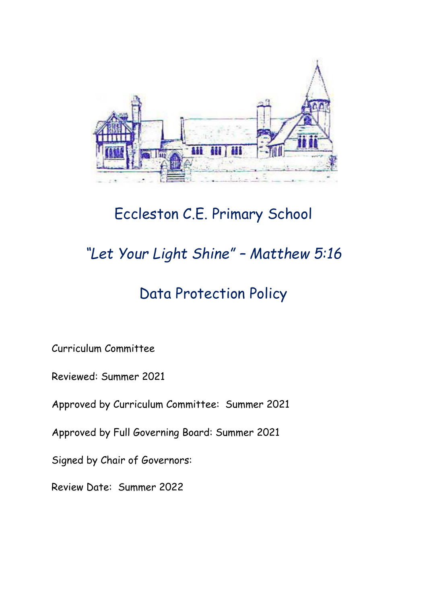

## Eccleston C.E. Primary School

# *"Let Your Light Shine" – Matthew 5:16*

## Data Protection Policy

Curriculum Committee

Reviewed: Summer 2021

Approved by Curriculum Committee: Summer 2021

Approved by Full Governing Board: Summer 2021

Signed by Chair of Governors:

Review Date: Summer 2022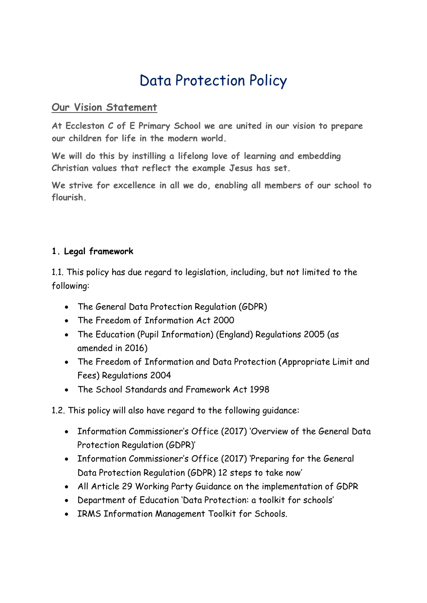## Data Protection Policy

#### **Our Vision Statement**

**At Eccleston C of E Primary School we are united in our vision to prepare our children for life in the modern world.**

**We will do this by instilling a lifelong love of learning and embedding Christian values that reflect the example Jesus has set.**

**We strive for excellence in all we do, enabling all members of our school to flourish.**

#### **1. Legal framework**

1.1. This policy has due regard to legislation, including, but not limited to the following:

- The General Data Protection Regulation (GDPR)
- The Freedom of Information Act 2000
- The Education (Pupil Information) (England) Regulations 2005 (as amended in 2016)
- The Freedom of Information and Data Protection (Appropriate Limit and Fees) Regulations 2004
- The School Standards and Framework Act 1998

## 1.2. This policy will also have regard to the following guidance:

- Information Commissioner's Office (2017) 'Overview of the General Data Protection Regulation (GDPR)'
- Information Commissioner's Office (2017) 'Preparing for the General Data Protection Regulation (GDPR) 12 steps to take now'
- All Article 29 Working Party Guidance on the implementation of GDPR
- Department of Education 'Data Protection: a toolkit for schools'
- IRMS Information Management Toolkit for Schools.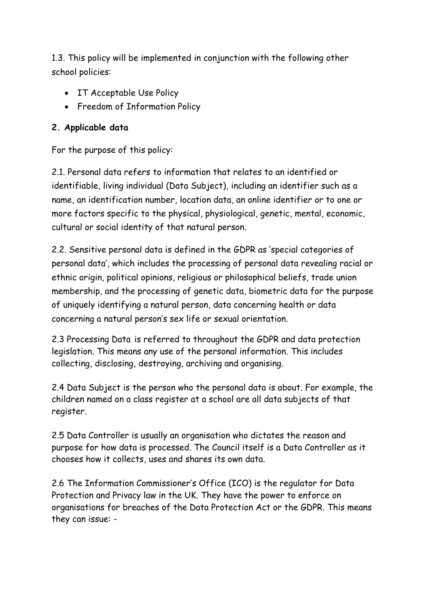1.3. This policy will be implemented in conjunction with the following other school policies:

- IT Acceptable Use Policy
- Freedom of Information Policy

#### **2. Applicable data**

For the purpose of this policy:

2.1. Personal data refers to information that relates to an identified or identifiable, living individual (Data Subject), including an identifier such as a name, an identification number, location data, an online identifier or to one or more factors specific to the physical, physiological, genetic, mental, economic, cultural or social identity of that natural person.

2.2. Sensitive personal data is defined in the GDPR as 'special categories of personal data', which includes the processing of personal data revealing racial or ethnic origin, political opinions, religious or philosophical beliefs, trade union membership, and the processing of genetic data, biometric data for the purpose of uniquely identifying a natural person, data concerning health or data concerning a natural person's sex life or sexual orientation.

2.3 Processing Data is referred to throughout the GDPR and data protection legislation. This means any use of the personal information. This includes collecting, disclosing, destroying, archiving and organising.

2.4 Data Subject is the person who the personal data is about. For example, the children named on a class register at a school are all data subjects of that register.

2.5 Data Controller is usually an organisation who dictates the reason and purpose for how data is processed. The Council itself is a Data Controller as it chooses how it collects, uses and shares its own data.

2.6 The Information Commissioner's Office (ICO) is the regulator for Data Protection and Privacy law in the UK. They have the power to enforce on organisations for breaches of the Data Protection Act or the GDPR. This means they can issue: -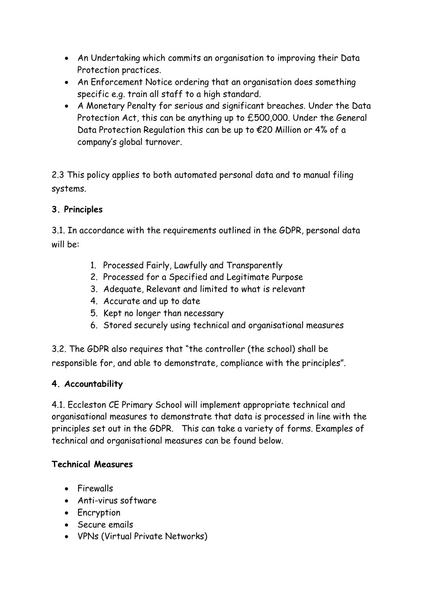- An Undertaking which commits an organisation to improving their Data Protection practices.
- An Enforcement Notice ordering that an organisation does something specific e.g. train all staff to a high standard.
- A Monetary Penalty for serious and significant breaches. Under the Data Protection Act, this can be anything up to £500,000. Under the General Data Protection Regulation this can be up to €20 Million or 4% of a company's global turnover.

2.3 This policy applies to both automated personal data and to manual filing systems.

## **3. Principles**

3.1. In accordance with the requirements outlined in the GDPR, personal data will be:

- 1. Processed Fairly, Lawfully and Transparently
- 2. Processed for a Specified and Legitimate Purpose
- 3. Adequate, Relevant and limited to what is relevant
- 4. Accurate and up to date
- 5. Kept no longer than necessary
- 6. Stored securely using technical and organisational measures

3.2. The GDPR also requires that "the controller (the school) shall be responsible for, and able to demonstrate, compliance with the principles".

## **4. Accountability**

4.1. Eccleston CE Primary School will implement appropriate technical and organisational measures to demonstrate that data is processed in line with the principles set out in the GDPR. This can take a variety of forms. Examples of technical and organisational measures can be found below.

## **Technical Measures**

- Firewalls
- Anti-virus software
- Encryption
- Secure emails
- VPNs (Virtual Private Networks)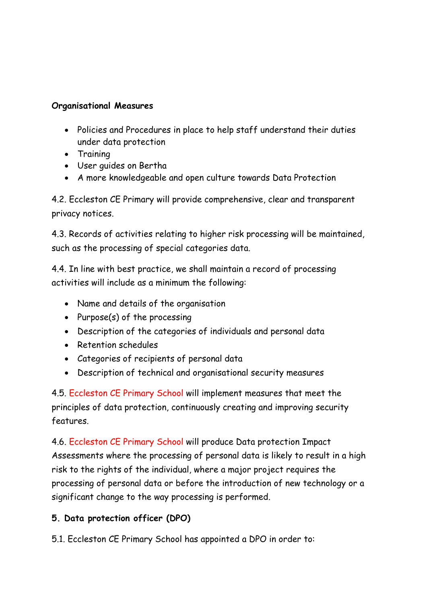#### **Organisational Measures**

- Policies and Procedures in place to help staff understand their duties under data protection
- Training
- User guides on Bertha
- A more knowledgeable and open culture towards Data Protection

4.2. Eccleston CE Primary will provide comprehensive, clear and transparent privacy notices.

4.3. Records of activities relating to higher risk processing will be maintained, such as the processing of special categories data.

4.4. In line with best practice, we shall maintain a record of processing activities will include as a minimum the following:

- Name and details of the organisation
- Purpose $(s)$  of the processing
- Description of the categories of individuals and personal data
- Retention schedules
- Categories of recipients of personal data
- Description of technical and organisational security measures

4.5. Eccleston CE Primary School will implement measures that meet the principles of data protection, continuously creating and improving security features.

4.6. Eccleston CE Primary School will produce Data protection Impact Assessments where the processing of personal data is likely to result in a high risk to the rights of the individual, where a major project requires the processing of personal data or before the introduction of new technology or a significant change to the way processing is performed.

## **5. Data protection officer (DPO)**

5.1. Eccleston CE Primary School has appointed a DPO in order to: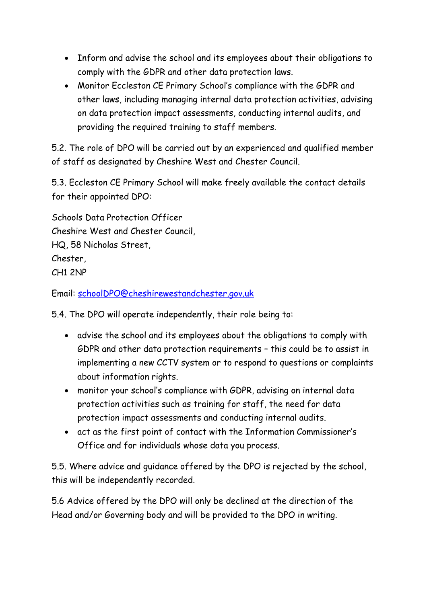- Inform and advise the school and its employees about their obligations to comply with the GDPR and other data protection laws.
- Monitor Eccleston CE Primary School's compliance with the GDPR and other laws, including managing internal data protection activities, advising on data protection impact assessments, conducting internal audits, and providing the required training to staff members.

5.2. The role of DPO will be carried out by an experienced and qualified member of staff as designated by Cheshire West and Chester Council.

5.3. Eccleston CE Primary School will make freely available the contact details for their appointed DPO:

Schools Data Protection Officer Cheshire West and Chester Council, HQ, 58 Nicholas Street, Chester, CH1 2NP

Email: [schoolDPO@cheshirewestandchester.gov.uk](mailto:schoolDPO@cheshirewestandchester.gov.uk)

5.4. The DPO will operate independently, their role being to:

- advise the school and its employees about the obligations to comply with GDPR and other data protection requirements – this could be to assist in implementing a new CCTV system or to respond to questions or complaints about information rights.
- monitor your school's compliance with GDPR, advising on internal data protection activities such as training for staff, the need for data protection impact assessments and conducting internal audits.
- act as the first point of contact with the Information Commissioner's Office and for individuals whose data you process.

5.5. Where advice and guidance offered by the DPO is rejected by the school, this will be independently recorded.

5.6 Advice offered by the DPO will only be declined at the direction of the Head and/or Governing body and will be provided to the DPO in writing.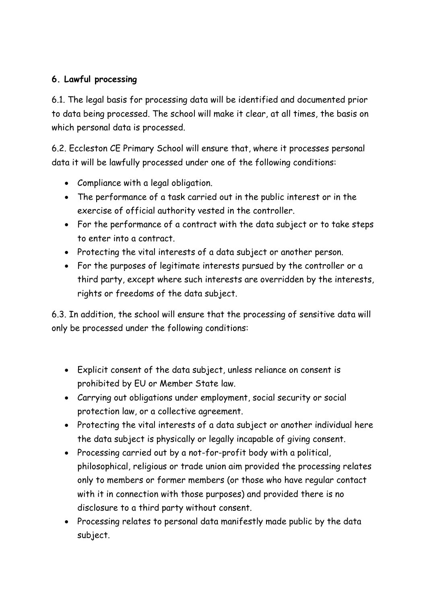## **6. Lawful processing**

6.1. The legal basis for processing data will be identified and documented prior to data being processed. The school will make it clear, at all times, the basis on which personal data is processed.

6.2. Eccleston CE Primary School will ensure that, where it processes personal data it will be lawfully processed under one of the following conditions:

- Compliance with a legal obligation.
- The performance of a task carried out in the public interest or in the exercise of official authority vested in the controller.
- For the performance of a contract with the data subject or to take steps to enter into a contract.
- Protecting the vital interests of a data subject or another person.
- For the purposes of legitimate interests pursued by the controller or a third party, except where such interests are overridden by the interests, rights or freedoms of the data subject.

6.3. In addition, the school will ensure that the processing of sensitive data will only be processed under the following conditions:

- Explicit consent of the data subject, unless reliance on consent is prohibited by EU or Member State law.
- Carrying out obligations under employment, social security or social protection law, or a collective agreement.
- Protecting the vital interests of a data subject or another individual here the data subject is physically or legally incapable of giving consent.
- Processing carried out by a not-for-profit body with a political, philosophical, religious or trade union aim provided the processing relates only to members or former members (or those who have regular contact with it in connection with those purposes) and provided there is no disclosure to a third party without consent.
- Processing relates to personal data manifestly made public by the data subject.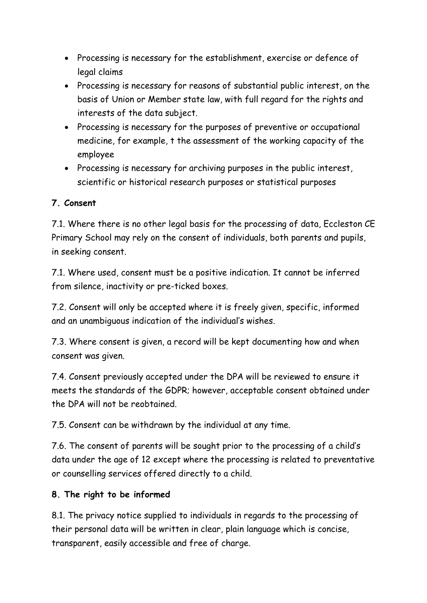- Processing is necessary for the establishment, exercise or defence of legal claims
- Processing is necessary for reasons of substantial public interest, on the basis of Union or Member state law, with full regard for the rights and interests of the data subject.
- Processing is necessary for the purposes of preventive or occupational medicine, for example, t the assessment of the working capacity of the employee
- Processing is necessary for archiving purposes in the public interest, scientific or historical research purposes or statistical purposes

## **7. Consent**

7.1. Where there is no other legal basis for the processing of data, Eccleston CE Primary School may rely on the consent of individuals, both parents and pupils, in seeking consent.

7.1. Where used, consent must be a positive indication. It cannot be inferred from silence, inactivity or pre-ticked boxes.

7.2. Consent will only be accepted where it is freely given, specific, informed and an unambiguous indication of the individual's wishes.

7.3. Where consent is given, a record will be kept documenting how and when consent was given.

7.4. Consent previously accepted under the DPA will be reviewed to ensure it meets the standards of the GDPR; however, acceptable consent obtained under the DPA will not be reobtained.

7.5. Consent can be withdrawn by the individual at any time.

7.6. The consent of parents will be sought prior to the processing of a child's data under the age of 12 except where the processing is related to preventative or counselling services offered directly to a child.

## **8. The right to be informed**

8.1. The privacy notice supplied to individuals in regards to the processing of their personal data will be written in clear, plain language which is concise, transparent, easily accessible and free of charge.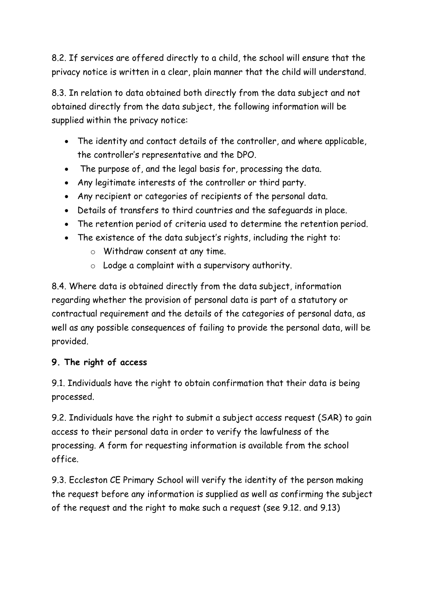8.2. If services are offered directly to a child, the school will ensure that the privacy notice is written in a clear, plain manner that the child will understand.

8.3. In relation to data obtained both directly from the data subject and not obtained directly from the data subject, the following information will be supplied within the privacy notice:

- The identity and contact details of the controller, and where applicable, the controller's representative and the DPO.
- The purpose of, and the legal basis for, processing the data.
- Any legitimate interests of the controller or third party.
- Any recipient or categories of recipients of the personal data.
- Details of transfers to third countries and the safeguards in place.
- The retention period of criteria used to determine the retention period.
- The existence of the data subject's rights, including the right to:
	- o Withdraw consent at any time.
	- $\circ$  Lodge a complaint with a supervisory authority.

8.4. Where data is obtained directly from the data subject, information regarding whether the provision of personal data is part of a statutory or contractual requirement and the details of the categories of personal data, as well as any possible consequences of failing to provide the personal data, will be provided.

## **9. The right of access**

9.1. Individuals have the right to obtain confirmation that their data is being processed.

9.2. Individuals have the right to submit a subject access request (SAR) to gain access to their personal data in order to verify the lawfulness of the processing. A form for requesting information is available from the school office.

9.3. Eccleston CE Primary School will verify the identity of the person making the request before any information is supplied as well as confirming the subject of the request and the right to make such a request (see 9.12. and 9.13)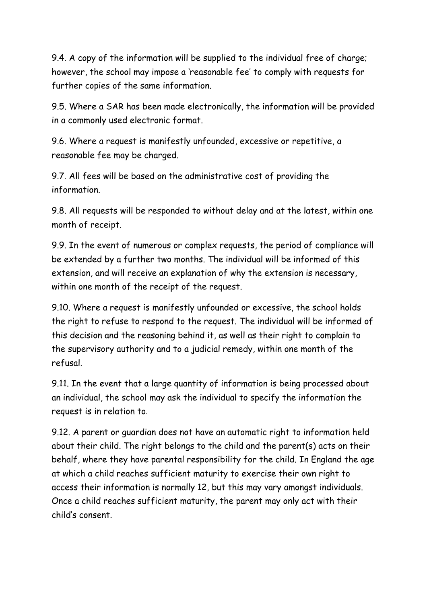9.4. A copy of the information will be supplied to the individual free of charge; however, the school may impose a 'reasonable fee' to comply with requests for further copies of the same information.

9.5. Where a SAR has been made electronically, the information will be provided in a commonly used electronic format.

9.6. Where a request is manifestly unfounded, excessive or repetitive, a reasonable fee may be charged.

9.7. All fees will be based on the administrative cost of providing the information.

9.8. All requests will be responded to without delay and at the latest, within one month of receipt.

9.9. In the event of numerous or complex requests, the period of compliance will be extended by a further two months. The individual will be informed of this extension, and will receive an explanation of why the extension is necessary, within one month of the receipt of the request.

9.10. Where a request is manifestly unfounded or excessive, the school holds the right to refuse to respond to the request. The individual will be informed of this decision and the reasoning behind it, as well as their right to complain to the supervisory authority and to a judicial remedy, within one month of the refusal.

9.11. In the event that a large quantity of information is being processed about an individual, the school may ask the individual to specify the information the request is in relation to.

9.12. A parent or guardian does not have an automatic right to information held about their child. The right belongs to the child and the parent(s) acts on their behalf, where they have parental responsibility for the child. In England the age at which a child reaches sufficient maturity to exercise their own right to access their information is normally 12, but this may vary amongst individuals. Once a child reaches sufficient maturity, the parent may only act with their child's consent.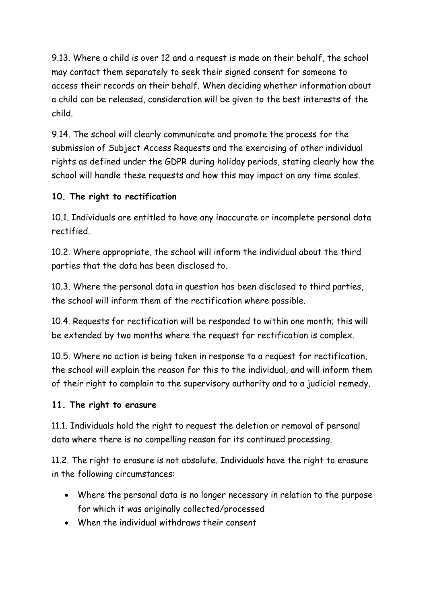9.13. Where a child is over 12 and a request is made on their behalf, the school may contact them separately to seek their signed consent for someone to access their records on their behalf. When deciding whether information about a child can be released, consideration will be given to the best interests of the child.

9.14. The school will clearly communicate and promote the process for the submission of Subject Access Requests and the exercising of other individual rights as defined under the GDPR during holiday periods, stating clearly how the school will handle these requests and how this may impact on any time scales.

## **10. The right to rectification**

10.1. Individuals are entitled to have any inaccurate or incomplete personal data rectified.

10.2. Where appropriate, the school will inform the individual about the third parties that the data has been disclosed to.

10.3. Where the personal data in question has been disclosed to third parties, the school will inform them of the rectification where possible.

10.4. Requests for rectification will be responded to within one month; this will be extended by two months where the request for rectification is complex.

10.5. Where no action is being taken in response to a request for rectification, the school will explain the reason for this to the individual, and will inform them of their right to complain to the supervisory authority and to a judicial remedy.

#### **11. The right to erasure**

11.1. Individuals hold the right to request the deletion or removal of personal data where there is no compelling reason for its continued processing.

11.2. The right to erasure is not absolute. Individuals have the right to erasure in the following circumstances:

- Where the personal data is no longer necessary in relation to the purpose for which it was originally collected/processed
- When the individual withdraws their consent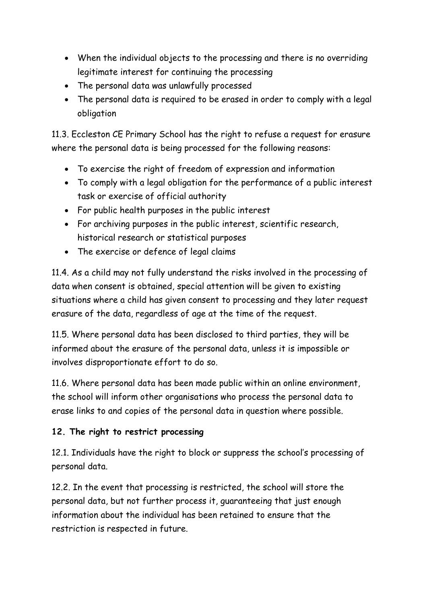- When the individual objects to the processing and there is no overriding legitimate interest for continuing the processing
- The personal data was unlawfully processed
- The personal data is required to be erased in order to comply with a legal obligation

11.3. Eccleston CE Primary School has the right to refuse a request for erasure where the personal data is being processed for the following reasons:

- To exercise the right of freedom of expression and information
- To comply with a legal obligation for the performance of a public interest task or exercise of official authority
- For public health purposes in the public interest
- For archiving purposes in the public interest, scientific research, historical research or statistical purposes
- The exercise or defence of legal claims

11.4. As a child may not fully understand the risks involved in the processing of data when consent is obtained, special attention will be given to existing situations where a child has given consent to processing and they later request erasure of the data, regardless of age at the time of the request.

11.5. Where personal data has been disclosed to third parties, they will be informed about the erasure of the personal data, unless it is impossible or involves disproportionate effort to do so.

11.6. Where personal data has been made public within an online environment, the school will inform other organisations who process the personal data to erase links to and copies of the personal data in question where possible.

## **12. The right to restrict processing**

12.1. Individuals have the right to block or suppress the school's processing of personal data.

12.2. In the event that processing is restricted, the school will store the personal data, but not further process it, guaranteeing that just enough information about the individual has been retained to ensure that the restriction is respected in future.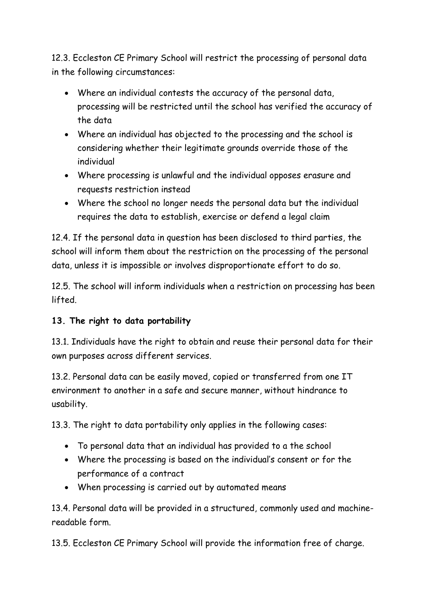12.3. Eccleston CE Primary School will restrict the processing of personal data in the following circumstances:

- Where an individual contests the accuracy of the personal data, processing will be restricted until the school has verified the accuracy of the data
- Where an individual has objected to the processing and the school is considering whether their legitimate grounds override those of the individual
- Where processing is unlawful and the individual opposes erasure and requests restriction instead
- Where the school no longer needs the personal data but the individual requires the data to establish, exercise or defend a legal claim

12.4. If the personal data in question has been disclosed to third parties, the school will inform them about the restriction on the processing of the personal data, unless it is impossible or involves disproportionate effort to do so.

12.5. The school will inform individuals when a restriction on processing has been lifted.

## **13. The right to data portability**

13.1. Individuals have the right to obtain and reuse their personal data for their own purposes across different services.

13.2. Personal data can be easily moved, copied or transferred from one IT environment to another in a safe and secure manner, without hindrance to usability.

13.3. The right to data portability only applies in the following cases:

- To personal data that an individual has provided to a the school
- Where the processing is based on the individual's consent or for the performance of a contract
- When processing is carried out by automated means

13.4. Personal data will be provided in a structured, commonly used and machinereadable form.

13.5. Eccleston CE Primary School will provide the information free of charge.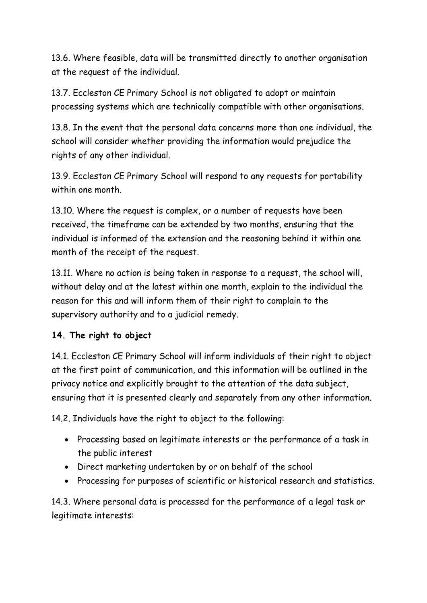13.6. Where feasible, data will be transmitted directly to another organisation at the request of the individual.

13.7. Eccleston CE Primary School is not obligated to adopt or maintain processing systems which are technically compatible with other organisations.

13.8. In the event that the personal data concerns more than one individual, the school will consider whether providing the information would prejudice the rights of any other individual.

13.9. Eccleston CE Primary School will respond to any requests for portability within one month.

13.10. Where the request is complex, or a number of requests have been received, the timeframe can be extended by two months, ensuring that the individual is informed of the extension and the reasoning behind it within one month of the receipt of the request.

13.11. Where no action is being taken in response to a request, the school will, without delay and at the latest within one month, explain to the individual the reason for this and will inform them of their right to complain to the supervisory authority and to a judicial remedy.

## **14. The right to object**

14.1. Eccleston CE Primary School will inform individuals of their right to object at the first point of communication, and this information will be outlined in the privacy notice and explicitly brought to the attention of the data subject, ensuring that it is presented clearly and separately from any other information.

14.2. Individuals have the right to object to the following:

- Processing based on legitimate interests or the performance of a task in the public interest
- Direct marketing undertaken by or on behalf of the school
- Processing for purposes of scientific or historical research and statistics.

14.3. Where personal data is processed for the performance of a legal task or legitimate interests: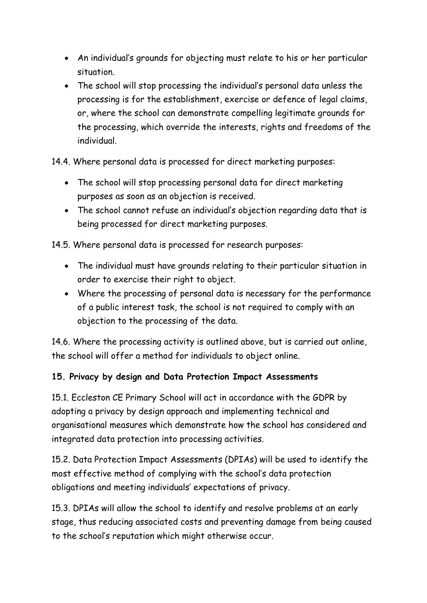- An individual's grounds for objecting must relate to his or her particular situation.
- The school will stop processing the individual's personal data unless the processing is for the establishment, exercise or defence of legal claims, or, where the school can demonstrate compelling legitimate grounds for the processing, which override the interests, rights and freedoms of the individual.
- 14.4. Where personal data is processed for direct marketing purposes:
	- The school will stop processing personal data for direct marketing purposes as soon as an objection is received.
	- The school cannot refuse an individual's objection regarding data that is being processed for direct marketing purposes.

14.5. Where personal data is processed for research purposes:

- The individual must have grounds relating to their particular situation in order to exercise their right to object.
- Where the processing of personal data is necessary for the performance of a public interest task, the school is not required to comply with an objection to the processing of the data.

14.6. Where the processing activity is outlined above, but is carried out online, the school will offer a method for individuals to object online.

## **15. Privacy by design and Data Protection Impact Assessments**

15.1. Eccleston CE Primary School will act in accordance with the GDPR by adopting a privacy by design approach and implementing technical and organisational measures which demonstrate how the school has considered and integrated data protection into processing activities.

15.2. Data Protection Impact Assessments (DPIAs) will be used to identify the most effective method of complying with the school's data protection obligations and meeting individuals' expectations of privacy.

15.3. DPIAs will allow the school to identify and resolve problems at an early stage, thus reducing associated costs and preventing damage from being caused to the school's reputation which might otherwise occur.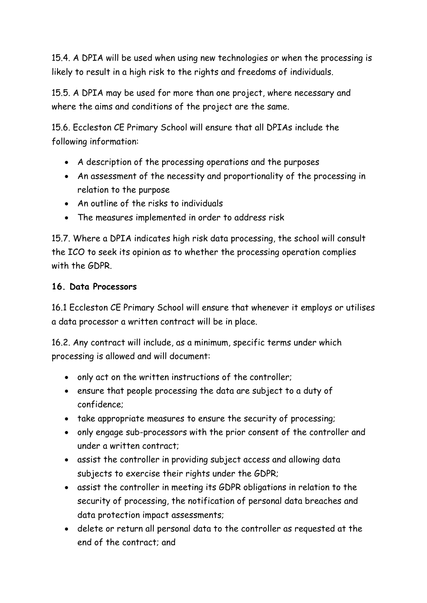15.4. A DPIA will be used when using new technologies or when the processing is likely to result in a high risk to the rights and freedoms of individuals.

15.5. A DPIA may be used for more than one project, where necessary and where the aims and conditions of the project are the same.

15.6. Eccleston CE Primary School will ensure that all DPIAs include the following information:

- A description of the processing operations and the purposes
- An assessment of the necessity and proportionality of the processing in relation to the purpose
- An outline of the risks to individuals
- The measures implemented in order to address risk

15.7. Where a DPIA indicates high risk data processing, the school will consult the ICO to seek its opinion as to whether the processing operation complies with the GDPR.

## **16. Data Processors**

16.1 Eccleston CE Primary School will ensure that whenever it employs or utilises a data processor a written contract will be in place.

16.2. Any contract will include, as a minimum, specific terms under which processing is allowed and will document:

- only act on the written instructions of the controller;
- ensure that people processing the data are subject to a duty of confidence;
- take appropriate measures to ensure the security of processing;
- only engage sub-processors with the prior consent of the controller and under a written contract;
- assist the controller in providing subject access and allowing data subjects to exercise their rights under the GDPR;
- assist the controller in meeting its GDPR obligations in relation to the security of processing, the notification of personal data breaches and data protection impact assessments;
- delete or return all personal data to the controller as requested at the end of the contract; and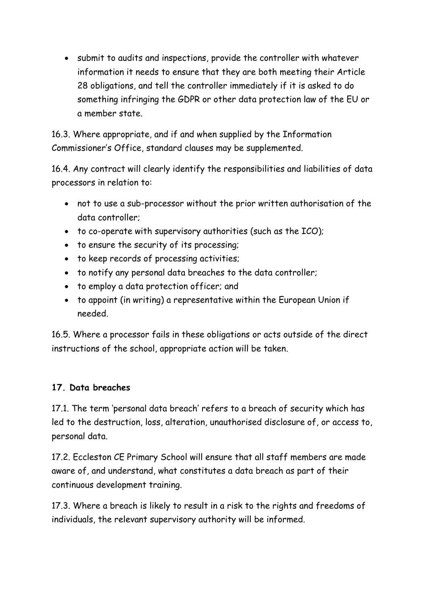submit to audits and inspections, provide the controller with whatever information it needs to ensure that they are both meeting their Article 28 obligations, and tell the controller immediately if it is asked to do something infringing the GDPR or other data protection law of the EU or a member state.

16.3. Where appropriate, and if and when supplied by the Information Commissioner's Office, standard clauses may be supplemented.

16.4. Any contract will clearly identify the responsibilities and liabilities of data processors in relation to:

- not to use a sub-processor without the prior written authorisation of the data controller;
- to co-operate with supervisory authorities (such as the ICO);
- to ensure the security of its processing;
- to keep records of processing activities;
- to notify any personal data breaches to the data controller;
- to employ a data protection officer; and
- to appoint (in writing) a representative within the European Union if needed.

16.5. Where a processor fails in these obligations or acts outside of the direct instructions of the school, appropriate action will be taken.

#### **17. Data breaches**

17.1. The term 'personal data breach' refers to a breach of security which has led to the destruction, loss, alteration, unauthorised disclosure of, or access to, personal data.

17.2. Eccleston CE Primary School will ensure that all staff members are made aware of, and understand, what constitutes a data breach as part of their continuous development training.

17.3. Where a breach is likely to result in a risk to the rights and freedoms of individuals, the relevant supervisory authority will be informed.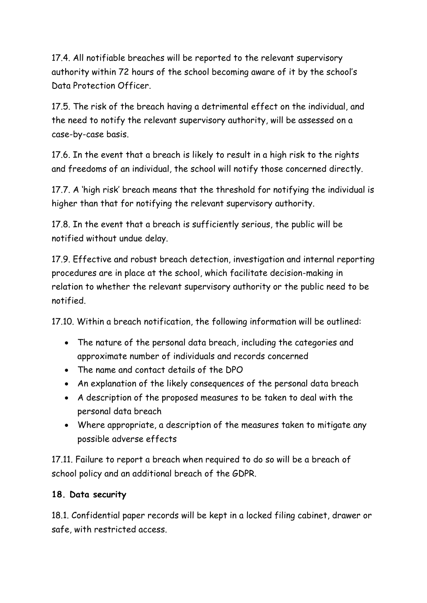17.4. All notifiable breaches will be reported to the relevant supervisory authority within 72 hours of the school becoming aware of it by the school's Data Protection Officer.

17.5. The risk of the breach having a detrimental effect on the individual, and the need to notify the relevant supervisory authority, will be assessed on a case-by-case basis.

17.6. In the event that a breach is likely to result in a high risk to the rights and freedoms of an individual, the school will notify those concerned directly.

17.7. A 'high risk' breach means that the threshold for notifying the individual is higher than that for notifying the relevant supervisory authority.

17.8. In the event that a breach is sufficiently serious, the public will be notified without undue delay.

17.9. Effective and robust breach detection, investigation and internal reporting procedures are in place at the school, which facilitate decision-making in relation to whether the relevant supervisory authority or the public need to be notified.

17.10. Within a breach notification, the following information will be outlined:

- The nature of the personal data breach, including the categories and approximate number of individuals and records concerned
- The name and contact details of the DPO
- An explanation of the likely consequences of the personal data breach
- A description of the proposed measures to be taken to deal with the personal data breach
- Where appropriate, a description of the measures taken to mitigate any possible adverse effects

17.11. Failure to report a breach when required to do so will be a breach of school policy and an additional breach of the GDPR.

## **18. Data security**

18.1. Confidential paper records will be kept in a locked filing cabinet, drawer or safe, with restricted access.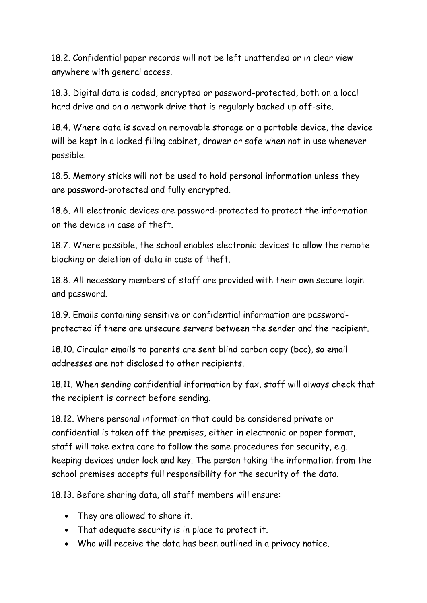18.2. Confidential paper records will not be left unattended or in clear view anywhere with general access.

18.3. Digital data is coded, encrypted or password-protected, both on a local hard drive and on a network drive that is regularly backed up off-site.

18.4. Where data is saved on removable storage or a portable device, the device will be kept in a locked filing cabinet, drawer or safe when not in use whenever possible.

18.5. Memory sticks will not be used to hold personal information unless they are password-protected and fully encrypted.

18.6. All electronic devices are password-protected to protect the information on the device in case of theft.

18.7. Where possible, the school enables electronic devices to allow the remote blocking or deletion of data in case of theft.

18.8. All necessary members of staff are provided with their own secure login and password.

18.9. Emails containing sensitive or confidential information are passwordprotected if there are unsecure servers between the sender and the recipient.

18.10. Circular emails to parents are sent blind carbon copy (bcc), so email addresses are not disclosed to other recipients.

18.11. When sending confidential information by fax, staff will always check that the recipient is correct before sending.

18.12. Where personal information that could be considered private or confidential is taken off the premises, either in electronic or paper format, staff will take extra care to follow the same procedures for security, e.g. keeping devices under lock and key. The person taking the information from the school premises accepts full responsibility for the security of the data.

18.13. Before sharing data, all staff members will ensure:

- They are allowed to share it.
- That adequate security is in place to protect it.
- Who will receive the data has been outlined in a privacy notice.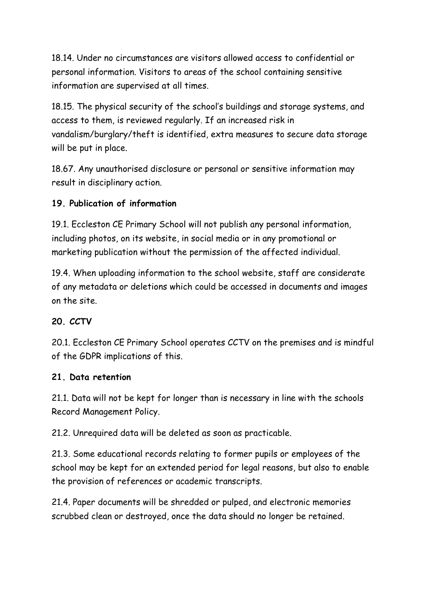18.14. Under no circumstances are visitors allowed access to confidential or personal information. Visitors to areas of the school containing sensitive information are supervised at all times.

18.15. The physical security of the school's buildings and storage systems, and access to them, is reviewed regularly. If an increased risk in vandalism/burglary/theft is identified, extra measures to secure data storage will be put in place.

18.67. Any unauthorised disclosure or personal or sensitive information may result in disciplinary action.

## **19. Publication of information**

19.1. Eccleston CE Primary School will not publish any personal information, including photos, on its website, in social media or in any promotional or marketing publication without the permission of the affected individual.

19.4. When uploading information to the school website, staff are considerate of any metadata or deletions which could be accessed in documents and images on the site.

#### **20. CCTV**

20.1. Eccleston CE Primary School operates CCTV on the premises and is mindful of the GDPR implications of this.

#### **21. Data retention**

21.1. Data will not be kept for longer than is necessary in line with the schools Record Management Policy.

21.2. Unrequired data will be deleted as soon as practicable.

21.3. Some educational records relating to former pupils or employees of the school may be kept for an extended period for legal reasons, but also to enable the provision of references or academic transcripts.

21.4. Paper documents will be shredded or pulped, and electronic memories scrubbed clean or destroyed, once the data should no longer be retained.